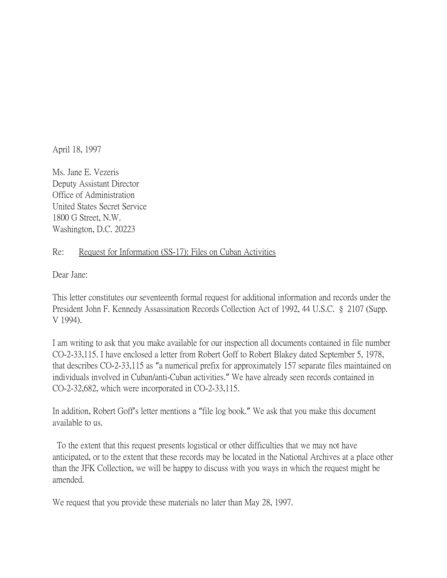April 18, 1997

Ms. Jane E. Vezeris Deputy Assistant Director Office of Administration United States Secret Service 1800 G Street, N.W. Washington, D.C. 20223

## Re: Request for Information (SS-17): Files on Cuban Activities

Dear Jane:

This letter constitutes our seventeenth formal request for additional information and records under the President John F. Kennedy Assassination Records Collection Act of 1992, 44 U.S.C. § 2107 (Supp. V 1994).

I am writing to ask that you make available for our inspection all documents contained in file number CO-2-33,115. I have enclosed a letter from Robert Goff to Robert Blakey dated September 5, 1978, that describes CO-2-33,115 as "a numerical prefix for approximately 157 separate files maintained on individuals involved in Cuban/anti-Cuban activities." We have already seen records contained in CO-2-32,682, which were incorporated in CO-2-33,115.

In addition, Robert Goff's letter mentions a "file log book." We ask that you make this document available to us.

To the extent that this request presents logistical or other difficulties that we may not have anticipated, or to the extent that these records may be located in the National Archives at a place other than the JFK Collection, we will be happy to discuss with you ways in which the request might be amended.

We request that you provide these materials no later than May 28, 1997.